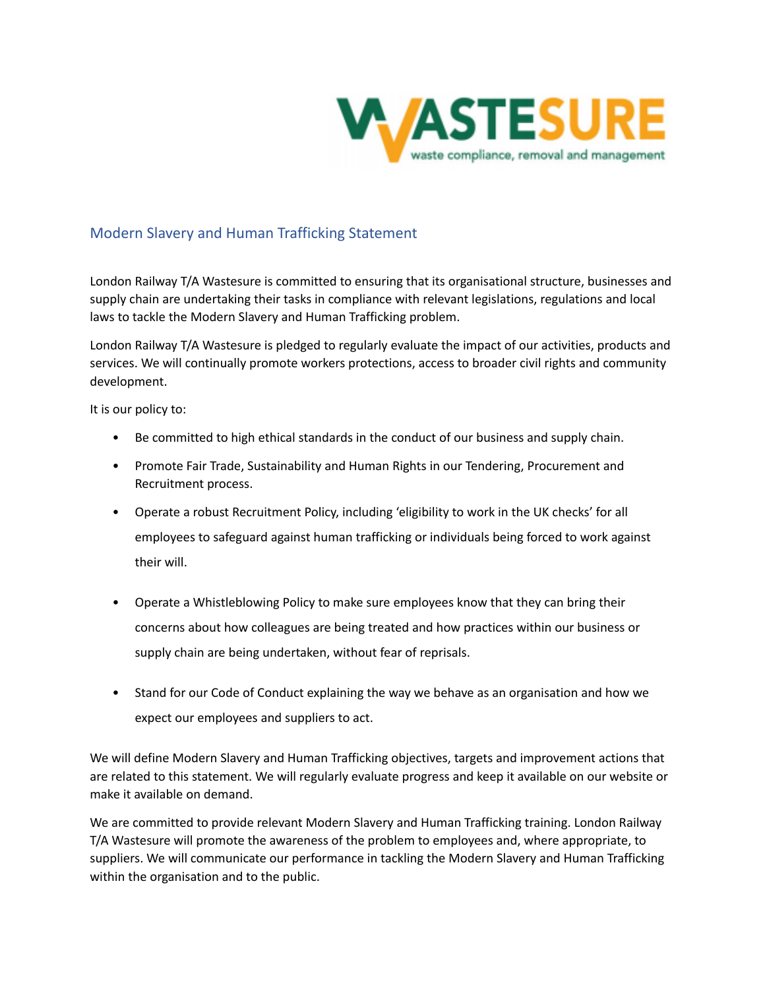

# Modern Slavery and Human Trafficking Statement

London Railway T/A Wastesure is committed to ensuring that its organisational structure, businesses and supply chain are undertaking their tasks in compliance with relevant legislations, regulations and local laws to tackle the Modern Slavery and Human Trafficking problem.

London Railway T/A Wastesure is pledged to regularly evaluate the impact of our activities, products and services. We will continually promote workers protections, access to broader civil rights and community development.

It is our policy to:

- Be committed to high ethical standards in the conduct of our business and supply chain.
- Promote Fair Trade, Sustainability and Human Rights in our Tendering, Procurement and Recruitment process.
- Operate a robust Recruitment Policy, including 'eligibility to work in the UK checks' for all employees to safeguard against human trafficking or individuals being forced to work against their will.
- Operate a Whistleblowing Policy to make sure employees know that they can bring their concerns about how colleagues are being treated and how practices within our business or supply chain are being undertaken, without fear of reprisals.
- Stand for our Code of Conduct explaining the way we behave as an organisation and how we expect our employees and suppliers to act.

We will define Modern Slavery and Human Trafficking objectives, targets and improvement actions that are related to this statement. We will regularly evaluate progress and keep it available on our website or make it available on demand.

We are committed to provide relevant Modern Slavery and Human Trafficking training. London Railway T/A Wastesure will promote the awareness of the problem to employees and, where appropriate, to suppliers. We will communicate our performance in tackling the Modern Slavery and Human Trafficking within the organisation and to the public.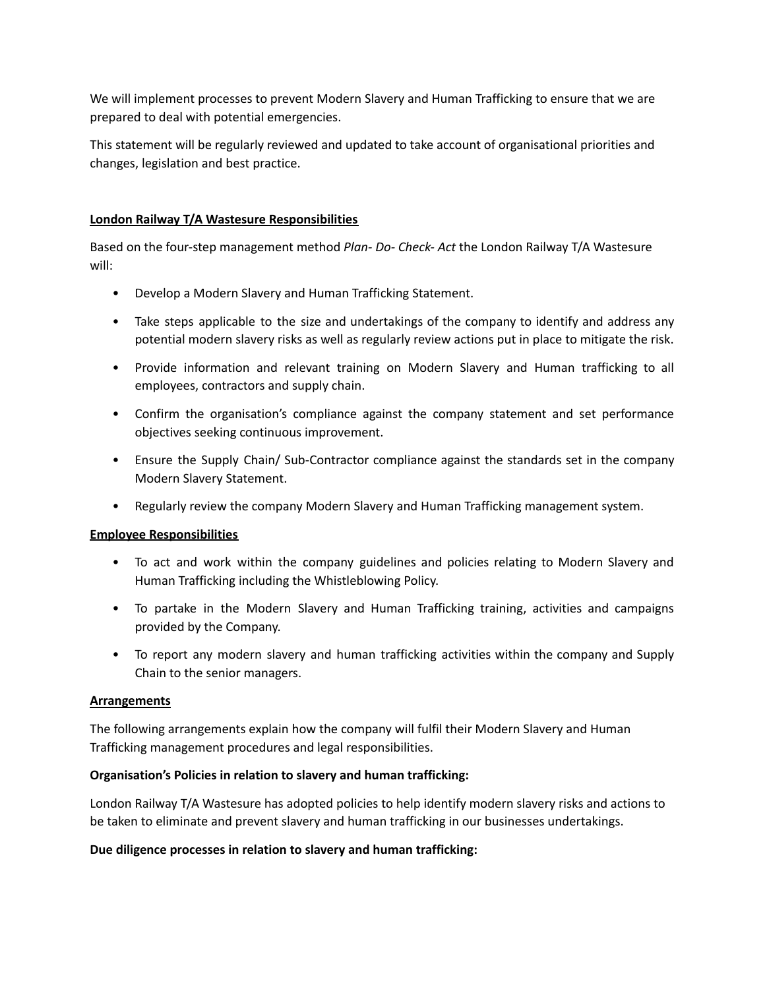We will implement processes to prevent Modern Slavery and Human Trafficking to ensure that we are prepared to deal with potential emergencies.

This statement will be regularly reviewed and updated to take account of organisational priorities and changes, legislation and best practice.

## **London Railway T/A Wastesure Responsibilities**

Based on the four-step management method *Plan- Do- Check- Act* the London Railway T/A Wastesure will:

- Develop a Modern Slavery and Human Trafficking Statement.
- Take steps applicable to the size and undertakings of the company to identify and address any potential modern slavery risks as well as regularly review actions put in place to mitigate the risk.
- Provide information and relevant training on Modern Slavery and Human trafficking to all employees, contractors and supply chain.
- Confirm the organisation's compliance against the company statement and set performance objectives seeking continuous improvement.
- Ensure the Supply Chain/ Sub-Contractor compliance against the standards set in the company Modern Slavery Statement.
- Regularly review the company Modern Slavery and Human Trafficking management system.

#### **Employee Responsibilities**

- To act and work within the company guidelines and policies relating to Modern Slavery and Human Trafficking including the Whistleblowing Policy.
- To partake in the Modern Slavery and Human Trafficking training, activities and campaigns provided by the Company.
- To report any modern slavery and human trafficking activities within the company and Supply Chain to the senior managers.

#### **Arrangements**

The following arrangements explain how the company will fulfil their Modern Slavery and Human Trafficking management procedures and legal responsibilities.

#### **Organisation's Policies in relation to slavery and human trafficking:**

London Railway T/A Wastesure has adopted policies to help identify modern slavery risks and actions to be taken to eliminate and prevent slavery and human trafficking in our businesses undertakings.

#### **Due diligence processes in relation to slavery and human trafficking:**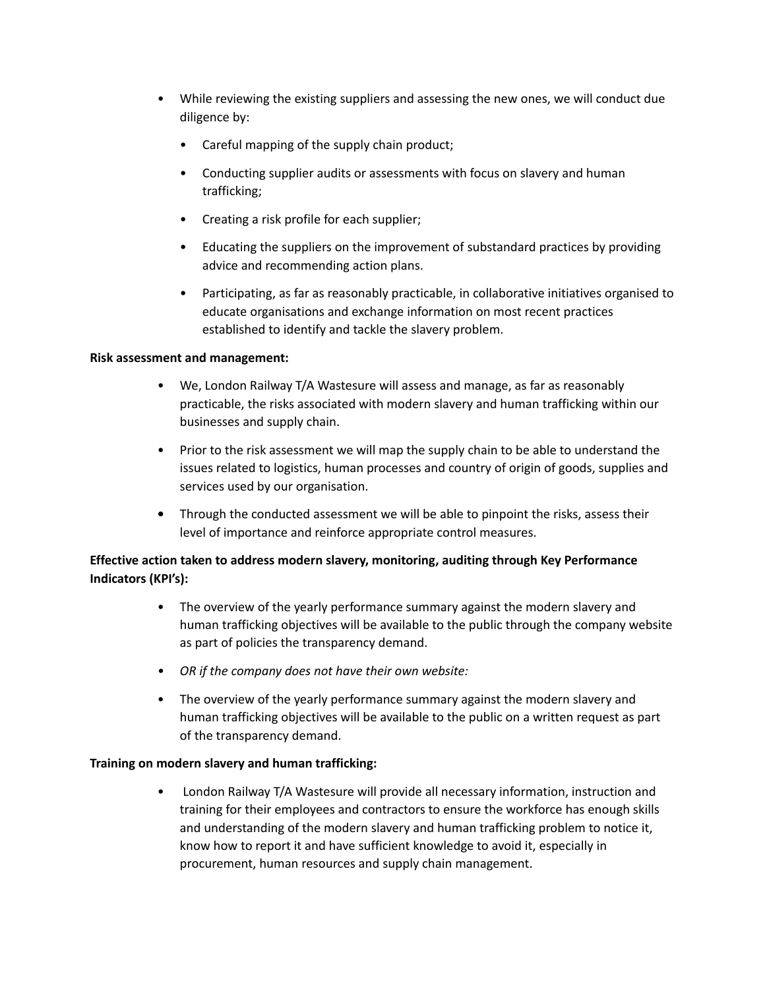- While reviewing the existing suppliers and assessing the new ones, we will conduct due diligence by:
	- Careful mapping of the supply chain product;
	- Conducting supplier audits or assessments with focus on slavery and human trafficking;
	- Creating a risk profile for each supplier;
	- Educating the suppliers on the improvement of substandard practices by providing advice and recommending action plans.
	- Participating, as far as reasonably practicable, in collaborative initiatives organised to educate organisations and exchange information on most recent practices established to identify and tackle the slavery problem.

## **Risk assessment and management:**

- We, London Railway T/A Wastesure will assess and manage, as far as reasonably practicable, the risks associated with modern slavery and human trafficking within our businesses and supply chain.
- Prior to the risk assessment we will map the supply chain to be able to understand the issues related to logistics, human processes and country of origin of goods, supplies and services used by our organisation.
- **•** Through the conducted assessment we will be able to pinpoint the risks, assess their level of importance and reinforce appropriate control measures.

## **Effective action taken to address modern slavery, monitoring, auditing through Key Performance Indicators (KPI's):**

- The overview of the yearly performance summary against the modern slavery and human trafficking objectives will be available to the public through the company website as part of policies the transparency demand.
- *• OR if the company does not have their own website:*
- The overview of the yearly performance summary against the modern slavery and human trafficking objectives will be available to the public on a written request as part of the transparency demand.

#### **Training on modern slavery and human trafficking:**

• London Railway T/A Wastesure will provide all necessary information, instruction and training for their employees and contractors to ensure the workforce has enough skills and understanding of the modern slavery and human trafficking problem to notice it, know how to report it and have sufficient knowledge to avoid it, especially in procurement, human resources and supply chain management.